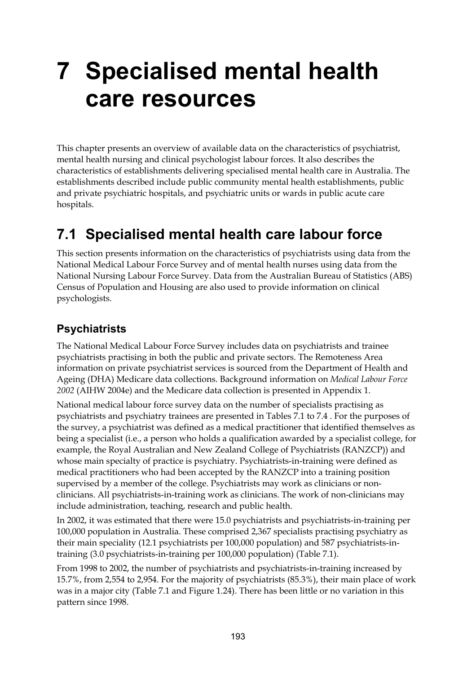# **7 Specialised mental health care resources**

This chapter presents an overview of available data on the characteristics of psychiatrist, mental health nursing and clinical psychologist labour forces. It also describes the characteristics of establishments delivering specialised mental health care in Australia. The establishments described include public community mental health establishments, public and private psychiatric hospitals, and psychiatric units or wards in public acute care hospitals.

# **7.1 Specialised mental health care labour force**

This section presents information on the characteristics of psychiatrists using data from the National Medical Labour Force Survey and of mental health nurses using data from the National Nursing Labour Force Survey. Data from the Australian Bureau of Statistics (ABS) Census of Population and Housing are also used to provide information on clinical psychologists.

# **Psychiatrists**

The National Medical Labour Force Survey includes data on psychiatrists and trainee psychiatrists practising in both the public and private sectors. The Remoteness Area information on private psychiatrist services is sourced from the Department of Health and Ageing (DHA) Medicare data collections. Background information on *Medical Labour Force 2002* (AIHW 2004e) and the Medicare data collection is presented in Appendix 1.

National medical labour force survey data on the number of specialists practising as psychiatrists and psychiatry trainees are presented in Tables 7.1 to 7.4 . For the purposes of the survey, a psychiatrist was defined as a medical practitioner that identified themselves as being a specialist (i.e., a person who holds a qualification awarded by a specialist college, for example, the Royal Australian and New Zealand College of Psychiatrists (RANZCP)) and whose main specialty of practice is psychiatry. Psychiatrists-in-training were defined as medical practitioners who had been accepted by the RANZCP into a training position supervised by a member of the college. Psychiatrists may work as clinicians or nonclinicians. All psychiatrists-in-training work as clinicians. The work of non-clinicians may include administration, teaching, research and public health.

In 2002, it was estimated that there were 15.0 psychiatrists and psychiatrists-in-training per 100,000 population in Australia. These comprised 2,367 specialists practising psychiatry as their main speciality (12.1 psychiatrists per 100,000 population) and 587 psychiatrists-intraining (3.0 psychiatrists-in-training per 100,000 population) (Table 7.1).

From 1998 to 2002, the number of psychiatrists and psychiatrists-in-training increased by 15.7%, from 2,554 to 2,954. For the majority of psychiatrists (85.3%), their main place of work was in a major city (Table 7.1 and Figure 1.24). There has been little or no variation in this pattern since 1998.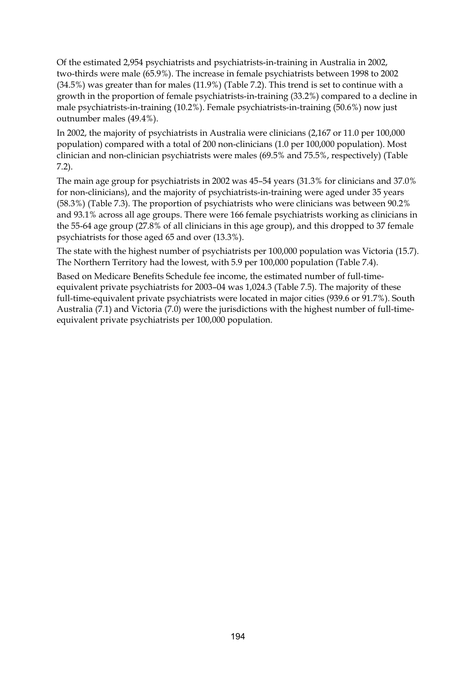Of the estimated 2,954 psychiatrists and psychiatrists-in-training in Australia in 2002, two-thirds were male (65.9%). The increase in female psychiatrists between 1998 to 2002 (34.5%) was greater than for males (11.9%) (Table 7.2). This trend is set to continue with a growth in the proportion of female psychiatrists-in-training (33.2%) compared to a decline in male psychiatrists-in-training (10.2%). Female psychiatrists-in-training (50.6%) now just outnumber males (49.4%).

In 2002, the majority of psychiatrists in Australia were clinicians (2,167 or 11.0 per 100,000 population) compared with a total of 200 non-clinicians (1.0 per 100,000 population). Most clinician and non-clinician psychiatrists were males (69.5% and 75.5%, respectively) (Table 7.2).

The main age group for psychiatrists in 2002 was 45–54 years (31.3% for clinicians and 37.0% for non-clinicians), and the majority of psychiatrists-in-training were aged under 35 years (58.3%) (Table 7.3). The proportion of psychiatrists who were clinicians was between 90.2% and 93.1% across all age groups. There were 166 female psychiatrists working as clinicians in the 55-64 age group (27.8% of all clinicians in this age group), and this dropped to 37 female psychiatrists for those aged 65 and over (13.3%).

The state with the highest number of psychiatrists per 100,000 population was Victoria (15.7). The Northern Territory had the lowest, with 5.9 per 100,000 population (Table 7.4).

Based on Medicare Benefits Schedule fee income, the estimated number of full-timeequivalent private psychiatrists for 2003–04 was 1,024.3 (Table 7.5). The majority of these full-time-equivalent private psychiatrists were located in major cities (939.6 or 91.7%). South Australia (7.1) and Victoria (7.0) were the jurisdictions with the highest number of full-timeequivalent private psychiatrists per 100,000 population.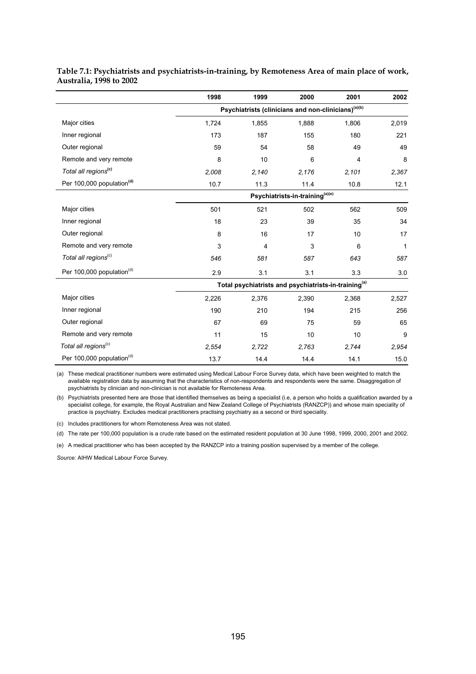|                                       | 1998  | 1999                                                             | 2000                                        | 2001  | 2002         |
|---------------------------------------|-------|------------------------------------------------------------------|---------------------------------------------|-------|--------------|
|                                       |       | Psychiatrists (clinicians and non-clinicians) <sup>(a)(b)</sup>  |                                             |       |              |
| Major cities                          | 1,724 | 1,855                                                            | 1,888                                       | 1,806 | 2,019        |
| Inner regional                        | 173   | 187                                                              | 155                                         | 180   | 221          |
| Outer regional                        | 59    | 54                                                               | 58                                          | 49    | 49           |
| Remote and very remote                | 8     | 10                                                               | 6                                           | 4     | 8            |
| Total all regions <sup>(c)</sup>      | 2,008 | 2,140                                                            | 2,176                                       | 2,101 | 2,367        |
| Per 100,000 population <sup>(d)</sup> | 10.7  | 11.3                                                             | 11.4                                        | 10.8  | 12.1         |
|                                       |       |                                                                  | Psychiatrists-in-training <sup>(a)(e)</sup> |       |              |
| Major cities                          | 501   | 521                                                              | 502                                         | 562   | 509          |
| Inner regional                        | 18    | 23                                                               | 39                                          | 35    | 34           |
| Outer regional                        | 8     | 16                                                               | 17                                          | 10    | 17           |
| Remote and very remote                | 3     | 4                                                                | 3                                           | 6     | $\mathbf{1}$ |
| Total all regions <sup>(c)</sup>      | 546   | 581                                                              | 587                                         | 643   | 587          |
| Per 100,000 population <sup>(d)</sup> | 2.9   | 3.1                                                              | 3.1                                         | 3.3   | 3.0          |
|                                       |       | Total psychiatrists and psychiatrists-in-training <sup>(a)</sup> |                                             |       |              |
| Major cities                          | 2,226 | 2,376                                                            | 2,390                                       | 2,368 | 2,527        |
| Inner regional                        | 190   | 210                                                              | 194                                         | 215   | 256          |
| Outer regional                        | 67    | 69                                                               | 75                                          | 59    | 65           |
| Remote and very remote                | 11    | 15                                                               | 10                                          | 10    | 9            |
| Total all regions <sup>(c)</sup>      | 2,554 | 2,722                                                            | 2,763                                       | 2,744 | 2,954        |
| Per 100,000 population <sup>(d)</sup> | 13.7  | 14.4                                                             | 14.4                                        | 14.1  | 15.0         |

**Table 7.1: Psychiatrists and psychiatrists-in-training, by Remoteness Area of main place of work, Australia, 1998 to 2002** 

(a) These medical practitioner numbers were estimated using Medical Labour Force Survey data, which have been weighted to match the available registration data by assuming that the characteristics of non-respondents and respondents were the same. Disaggregation of psychiatrists by clinician and non-clinician is not available for Remoteness Area.

(b) Psychiatrists presented here are those that identified themselves as being a specialist (i.e, a person who holds a qualification awarded by a specialist college, for example, the Royal Australian and New Zealand College of Psychiatrists (RANZCP)) and whose main speciality of practice is psychiatry. Excludes medical practitioners practising psychiatry as a second or third speciality.

(c) Includes practitioners for whom Remoteness Area was not stated.

(d) The rate per 100,000 population is a crude rate based on the estimated resident population at 30 June 1998, 1999, 2000, 2001 and 2002.

(e) A medical practitioner who has been accepted by the RANZCP into a training position supervised by a member of the college.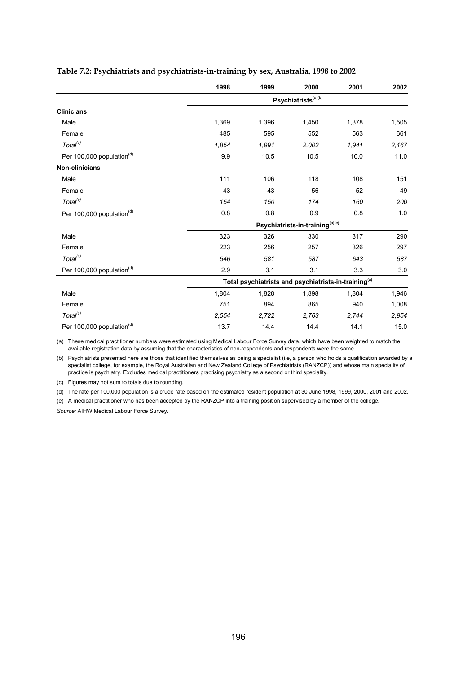|                                       | 1998  | 1999  | 2000                                                             | 2001  | 2002  |
|---------------------------------------|-------|-------|------------------------------------------------------------------|-------|-------|
|                                       |       |       | Psychiatrists <sup>(a)(b)</sup>                                  |       |       |
| <b>Clinicians</b>                     |       |       |                                                                  |       |       |
| Male                                  | 1,369 | 1,396 | 1,450                                                            | 1,378 | 1,505 |
| Female                                | 485   | 595   | 552                                                              | 563   | 661   |
| Total <sup>(c)</sup>                  | 1,854 | 1,991 | 2,002                                                            | 1,941 | 2,167 |
| Per 100,000 population <sup>(d)</sup> | 9.9   | 10.5  | 10.5                                                             | 10.0  | 11.0  |
| <b>Non-clinicians</b>                 |       |       |                                                                  |       |       |
| Male                                  | 111   | 106   | 118                                                              | 108   | 151   |
| Female                                | 43    | 43    | 56                                                               | 52    | 49    |
| Total <sup>(c)</sup>                  | 154   | 150   | 174                                                              | 160   | 200   |
| Per 100,000 population <sup>(d)</sup> | 0.8   | 0.8   | 0.9                                                              | 0.8   | 1.0   |
|                                       |       |       | Psychiatrists-in-training(a)(e)                                  |       |       |
| Male                                  | 323   | 326   | 330                                                              | 317   | 290   |
| Female                                | 223   | 256   | 257                                                              | 326   | 297   |
| Total <sup>(c)</sup>                  | 546   | 581   | 587                                                              | 643   | 587   |
| Per 100,000 population <sup>(d)</sup> | 2.9   | 3.1   | 3.1                                                              | 3.3   | 3.0   |
|                                       |       |       | Total psychiatrists and psychiatrists-in-training <sup>(a)</sup> |       |       |
| Male                                  | 1,804 | 1,828 | 1,898                                                            | 1,804 | 1,946 |
| Female                                | 751   | 894   | 865                                                              | 940   | 1,008 |
| Total <sup>(c)</sup>                  | 2,554 | 2,722 | 2,763                                                            | 2,744 | 2,954 |
| Per 100,000 population <sup>(d)</sup> | 13.7  | 14.4  | 14.4                                                             | 14.1  | 15.0  |

### **Table 7.2: Psychiatrists and psychiatrists-in-training by sex, Australia, 1998 to 2002**

(a) These medical practitioner numbers were estimated using Medical Labour Force Survey data, which have been weighted to match the available registration data by assuming that the characteristics of non-respondents and respondents were the same.

(b) Psychiatrists presented here are those that identified themselves as being a specialist (i.e, a person who holds a qualification awarded by a specialist college, for example, the Royal Australian and New Zealand College of Psychiatrists (RANZCP)) and whose main speciality of practice is psychiatry. Excludes medical practitioners practising psychiatry as a second or third speciality.

(c) Figures may not sum to totals due to rounding.

(d) The rate per 100,000 population is a crude rate based on the estimated resident population at 30 June 1998, 1999, 2000, 2001 and 2002.

(e) A medical practitioner who has been accepted by the RANZCP into a training position supervised by a member of the college.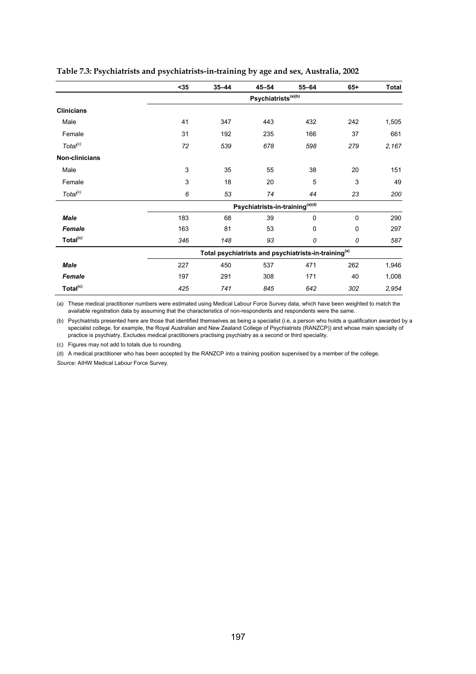|                      | $35$ | $35 - 44$                       | $45 - 54$                             | $55 - 64$                                                        | $65+$       | <b>Total</b> |  |  |  |  |  |
|----------------------|------|---------------------------------|---------------------------------------|------------------------------------------------------------------|-------------|--------------|--|--|--|--|--|
|                      |      | Psychiatrists <sup>(a)(b)</sup> |                                       |                                                                  |             |              |  |  |  |  |  |
| <b>Clinicians</b>    |      |                                 |                                       |                                                                  |             |              |  |  |  |  |  |
| Male                 | 41   | 347                             | 443                                   | 432                                                              | 242         | 1,505        |  |  |  |  |  |
| Female               | 31   | 192                             | 235                                   | 166                                                              | 37          | 661          |  |  |  |  |  |
| Total <sup>(c)</sup> | 72   | 539                             | 678                                   | 598                                                              | 279         | 2,167        |  |  |  |  |  |
| Non-clinicians       |      |                                 |                                       |                                                                  |             |              |  |  |  |  |  |
| Male                 | 3    | 35                              | 55                                    | 38                                                               | 20          | 151          |  |  |  |  |  |
| Female               | 3    | 18                              | 20                                    | 5                                                                | 3           | 49           |  |  |  |  |  |
| Total <sup>(c)</sup> | 6    | 53                              | 74                                    | 44                                                               | 23          | 200          |  |  |  |  |  |
|                      |      |                                 | Psychiatrists-in-training $^{(a)(d)}$ |                                                                  |             |              |  |  |  |  |  |
| <b>Male</b>          | 183  | 68                              | 39                                    | 0                                                                | $\mathbf 0$ | 290          |  |  |  |  |  |
| <b>Female</b>        | 163  | 81                              | 53                                    | 0                                                                | $\Omega$    | 297          |  |  |  |  |  |
| Total <sup>(c)</sup> | 346  | 148                             | 93                                    | 0                                                                | 0           | 587          |  |  |  |  |  |
|                      |      |                                 |                                       | Total psychiatrists and psychiatrists-in-training <sup>(a)</sup> |             |              |  |  |  |  |  |
| <b>Male</b>          | 227  | 450                             | 537                                   | 471                                                              | 262         | 1,946        |  |  |  |  |  |
| <b>Female</b>        | 197  | 291                             | 308                                   | 171                                                              | 40          | 1,008        |  |  |  |  |  |
| Total <sup>(c)</sup> | 425  | 741                             | 845                                   | 642                                                              | 302         | 2,954        |  |  |  |  |  |

### **Table 7.3: Psychiatrists and psychiatrists-in-training by age and sex, Australia, 2002**

(a) These medical practitioner numbers were estimated using Medical Labour Force Survey data, which have been weighted to match the available registration data by assuming that the characteristics of non-respondents and respondents were the same.

(b) Psychiatrists presented here are those that identified themselves as being a specialist (i.e, a person who holds a qualification awarded by a specialist college, for example, the Royal Australian and New Zealand College of Psychiatrists (RANZCP)) and whose main specialty of practice is psychiatry. Excludes medical practitioners practising psychiatry as a second or third speciality.

(c) Figures may not add to totals due to rounding.

(d) A medical practitioner who has been accepted by the RANZCP into a training position supervised by a member of the college.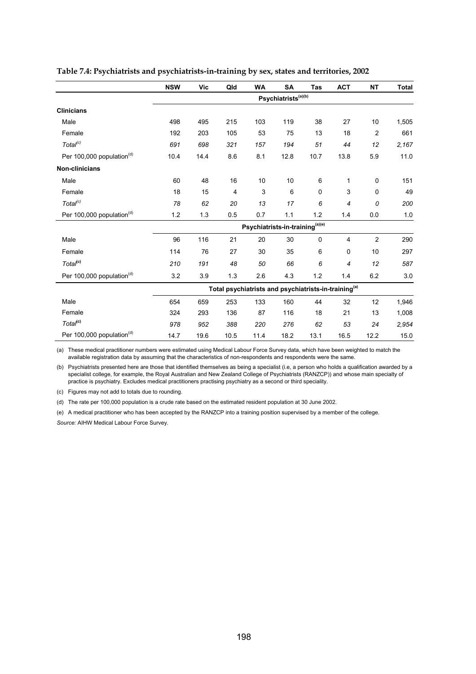|                                       | <b>NSW</b> | Vic                                                              | Qld            | <b>WA</b> | <b>SA</b>                       | <b>Tas</b> | <b>ACT</b> | <b>NT</b>      | <b>Total</b> |  |  |
|---------------------------------------|------------|------------------------------------------------------------------|----------------|-----------|---------------------------------|------------|------------|----------------|--------------|--|--|
|                                       |            | $\mathsf{Psychiatrists}^{\scriptscriptstyle \sf (a)(b)}$         |                |           |                                 |            |            |                |              |  |  |
| <b>Clinicians</b>                     |            |                                                                  |                |           |                                 |            |            |                |              |  |  |
| Male                                  | 498        | 495                                                              | 215            | 103       | 119                             | 38         | 27         | 10             | 1,505        |  |  |
| Female                                | 192        | 203                                                              | 105            | 53        | 75                              | 13         | 18         | $\overline{2}$ | 661          |  |  |
| Total <sup>(c)</sup>                  | 691        | 698                                                              | 321            | 157       | 194                             | 51         | 44         | 12             | 2,167        |  |  |
| Per 100,000 population <sup>(d)</sup> | 10.4       | 14.4                                                             | 8.6            | 8.1       | 12.8                            | 10.7       | 13.8       | 5.9            | 11.0         |  |  |
| Non-clinicians                        |            |                                                                  |                |           |                                 |            |            |                |              |  |  |
| Male                                  | 60         | 48                                                               | 16             | 10        | 10                              | 6          | 1          | 0              | 151          |  |  |
| Female                                | 18         | 15                                                               | $\overline{4}$ | 3         | 6                               | 0          | 3          | 0              | 49           |  |  |
| Total <sup>(c)</sup>                  | 78         | 62                                                               | 20             | 13        | 17                              | 6          | 4          | 0              | 200          |  |  |
| Per 100,000 population <sup>(d)</sup> | 1.2        | 1.3                                                              | 0.5            | 0.7       | 1.1                             | 1.2        | 1.4        | 0.0            | 1.0          |  |  |
|                                       |            |                                                                  |                |           | Psychiatrists-in-training(a)(e) |            |            |                |              |  |  |
| Male                                  | 96         | 116                                                              | 21             | 20        | 30                              | $\pmb{0}$  | 4          | $\overline{c}$ | 290          |  |  |
| Female                                | 114        | 76                                                               | 27             | 30        | 35                              | 6          | 0          | 10             | 297          |  |  |
| Total <sup>(c)</sup>                  | 210        | 191                                                              | 48             | 50        | 66                              | 6          | 4          | 12             | 587          |  |  |
| Per 100,000 population <sup>(d)</sup> | 3.2        | 3.9                                                              | 1.3            | 2.6       | 4.3                             | 1.2        | 1.4        | 6.2            | 3.0          |  |  |
|                                       |            | Total psychiatrists and psychiatrists-in-training <sup>(a)</sup> |                |           |                                 |            |            |                |              |  |  |
| Male                                  | 654        | 659                                                              | 253            | 133       | 160                             | 44         | 32         | 12             | 1,946        |  |  |
| Female                                | 324        | 293                                                              | 136            | 87        | 116                             | 18         | 21         | 13             | 1,008        |  |  |
| Total <sup>(c)</sup>                  | 978        | 952                                                              | 388            | 220       | 276                             | 62         | 53         | 24             | 2,954        |  |  |
| Per 100,000 population <sup>(d)</sup> | 14.7       | 19.6                                                             | 10.5           | 11.4      | 18.2                            | 13.1       | 16.5       | 12.2           | 15.0         |  |  |

#### **Table 7.4: Psychiatrists and psychiatrists-in-training by sex, states and territories, 2002**

(a) These medical practitioner numbers were estimated using Medical Labour Force Survey data, which have been weighted to match the available registration data by assuming that the characteristics of non-respondents and respondents were the same.

(b) Psychiatrists presented here are those that identified themselves as being a specialist (i.e, a person who holds a qualification awarded by a specialist college, for example, the Royal Australian and New Zealand College of Psychiatrists (RANZCP)) and whose main specialty of practice is psychiatry. Excludes medical practitioners practising psychiatry as a second or third speciality.

(c) Figures may not add to totals due to rounding.

(d) The rate per 100,000 population is a crude rate based on the estimated resident population at 30 June 2002.

(e) A medical practitioner who has been accepted by the RANZCP into a training position supervised by a member of the college.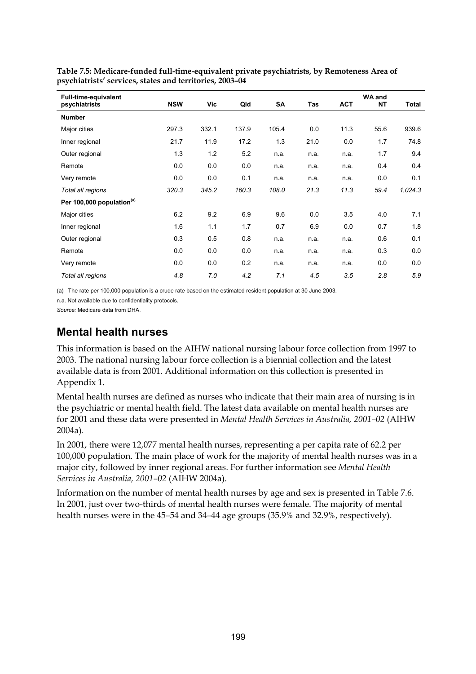| <b>Full-time-equivalent</b><br>psychiatrists | <b>NSW</b> | Vic   | Qld   | SA    | Tas  | <b>ACT</b> | <b>WA and</b><br><b>NT</b> | Total   |
|----------------------------------------------|------------|-------|-------|-------|------|------------|----------------------------|---------|
| <b>Number</b>                                |            |       |       |       |      |            |                            |         |
| Major cities                                 | 297.3      | 332.1 | 137.9 | 105.4 | 0.0  | 11.3       | 55.6                       | 939.6   |
| Inner regional                               | 21.7       | 11.9  | 17.2  | 1.3   | 21.0 | 0.0        | 1.7                        | 74.8    |
| Outer regional                               | 1.3        | 1.2   | 5.2   | n.a.  | n.a. | n.a.       | 1.7                        | 9.4     |
| Remote                                       | 0.0        | 0.0   | 0.0   | n.a.  | n.a. | n.a.       | 0.4                        | 0.4     |
| Very remote                                  | 0.0        | 0.0   | 0.1   | n.a.  | n.a. | n.a.       | 0.0                        | 0.1     |
| Total all regions                            | 320.3      | 345.2 | 160.3 | 108.0 | 21.3 | 11.3       | 59.4                       | 1,024.3 |
| Per 100,000 population <sup>(a)</sup>        |            |       |       |       |      |            |                            |         |
| Major cities                                 | 6.2        | 9.2   | 6.9   | 9.6   | 0.0  | 3.5        | 4.0                        | 7.1     |
| Inner regional                               | 1.6        | 1.1   | 1.7   | 0.7   | 6.9  | 0.0        | 0.7                        | 1.8     |
| Outer regional                               | 0.3        | 0.5   | 0.8   | n.a.  | n.a. | n.a.       | 0.6                        | 0.1     |
| Remote                                       | 0.0        | 0.0   | 0.0   | n.a.  | n.a. | n.a.       | 0.3                        | 0.0     |
| Very remote                                  | 0.0        | 0.0   | 0.2   | n.a.  | n.a. | n.a.       | 0.0                        | 0.0     |
| Total all regions                            | 4.8        | 7.0   | 4.2   | 7.1   | 4.5  | 3.5        | 2.8                        | 5.9     |

**Table 7.5: Medicare-funded full-time-equivalent private psychiatrists, by Remoteness Area of psychiatrists' services, states and territories, 2003–04** 

(a) The rate per 100,000 population is a crude rate based on the estimated resident population at 30 June 2003.

n.a. Not available due to confidentiality protocols.

*Source:* Medicare data from DHA.

### **Mental health nurses**

This information is based on the AIHW national nursing labour force collection from 1997 to 2003. The national nursing labour force collection is a biennial collection and the latest available data is from 2001. Additional information on this collection is presented in Appendix 1.

Mental health nurses are defined as nurses who indicate that their main area of nursing is in the psychiatric or mental health field. The latest data available on mental health nurses are for 2001 and these data were presented in *Mental Health Services in Australia, 2001–02* (AIHW 2004a).

In 2001, there were 12,077 mental health nurses, representing a per capita rate of 62.2 per 100,000 population. The main place of work for the majority of mental health nurses was in a major city, followed by inner regional areas. For further information see *Mental Health Services in Australia, 2001–02* (AIHW 2004a).

Information on the number of mental health nurses by age and sex is presented in Table 7.6. In 2001, just over two-thirds of mental health nurses were female. The majority of mental health nurses were in the 45–54 and 34–44 age groups (35.9% and 32.9%, respectively).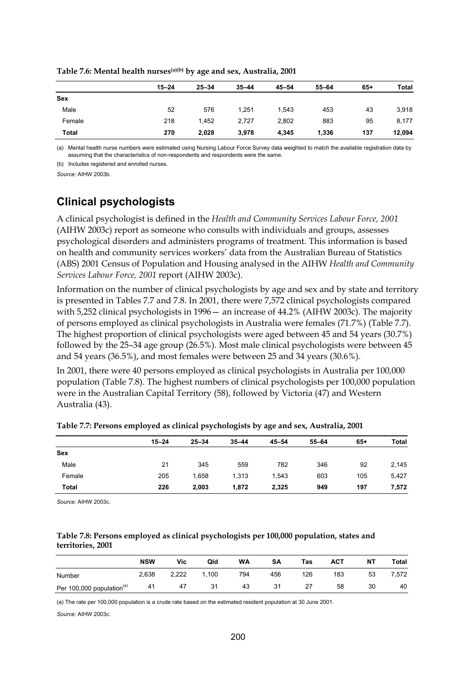| $15 - 24$ | $25 - 34$ | $35 - 44$ | $45 - 54$ | $55 - 64$ | $65+$ | Total  |
|-----------|-----------|-----------|-----------|-----------|-------|--------|
|           |           |           |           |           |       |        |
| 52        | 576       | 1.251     | 1.543     | 453       | 43    | 3,918  |
| 218       | 1.452     | 2,727     | 2,802     | 883       | 95    | 8,177  |
| 270       | 2,028     | 3,978     | 4,345     | 1,336     | 137   | 12,094 |
|           |           |           |           |           |       |        |

**Table 7.6: Mental health nurses(a)(b) by age and sex, Australia, 2001** 

(a) Mental health nurse numbers were estimated using Nursing Labour Force Survey data weighted to match the available registration data by assuming that the characteristics of non-respondents and respondents were the same.

(b) Includes registered and enrolled nurses.

*Source:* AIHW 2003b.

### **Clinical psychologists**

A clinical psychologist is defined in the *Health and Community Services Labour Force, 2001* (AIHW 2003c) report as someone who consults with individuals and groups, assesses psychological disorders and administers programs of treatment. This information is based on health and community services workers' data from the Australian Bureau of Statistics (ABS) 2001 Census of Population and Housing analysed in the AIHW *Health and Community Services Labour Force, 2001* report (AIHW 2003c).

Information on the number of clinical psychologists by age and sex and by state and territory is presented in Tables 7.7 and 7.8. In 2001, there were 7,572 clinical psychologists compared with 5,252 clinical psychologists in 1996— an increase of 44.2% (AIHW 2003c). The majority of persons employed as clinical psychologists in Australia were females (71.7%) (Table 7.7)*.* The highest proportion of clinical psychologists were aged between 45 and 54 years (30.7%) followed by the 25–34 age group (26.5%). Most male clinical psychologists were between 45 and 54 years (36.5%), and most females were between 25 and 34 years (30.6%).

In 2001, there were 40 persons employed as clinical psychologists in Australia per 100,000 population (Table 7.8). The highest numbers of clinical psychologists per 100,000 population were in the Australian Capital Territory (58), followed by Victoria (47) and Western Australia (43).

| $15 - 24$ | $25 - 34$ | $35 - 44$ | $45 - 54$ | 55-64 | $65+$ | Total |
|-----------|-----------|-----------|-----------|-------|-------|-------|
|           |           |           |           |       |       |       |
| 21        | 345       | 559       | 782       | 346   | 92    | 2,145 |
| 205       | 1,658     | 1,313     | 1,543     | 603   | 105   | 5,427 |
| 226       | 2,003     | 1,872     | 2,325     | 949   | 197   | 7,572 |
|           |           |           |           |       |       |       |

### **Table 7.7: Persons employed as clinical psychologists by age and sex, Australia, 2001**

*Source:* AIHW 2003c.

### **Table 7.8: Persons employed as clinical psychologists per 100,000 population, states and territories, 2001**

|                                       | <b>NSW</b> | Vic   | Qld   | <b>WA</b> | SA  | Tas | <b>ACT</b> | NΤ | Total |
|---------------------------------------|------------|-------|-------|-----------|-----|-----|------------|----|-------|
| Number                                | 2.638      | 2,222 | 1.100 | 794       | 456 | 126 | 183        | 53 | 572.  |
| Per 100,000 population <sup>(a)</sup> | 41         | 47    | 31    | 43        | 31  | 27  | 58         | 30 | 40    |

(a) The rate per 100,000 population is a crude rate based on the estimated resident population at 30 June 2001.

*Source:* AIHW 2003c.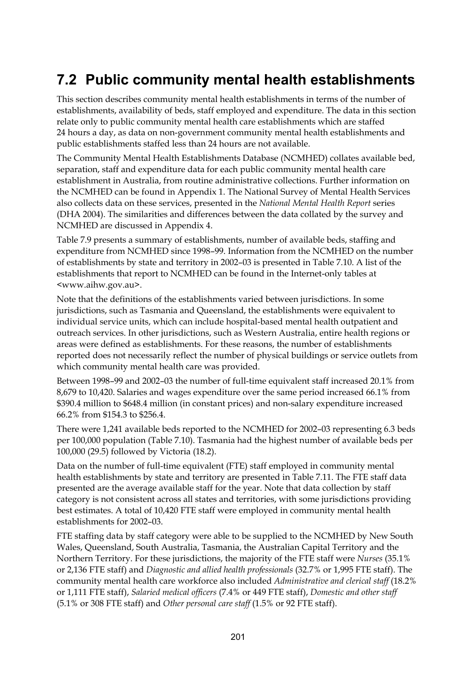# **7.2 Public community mental health establishments**

This section describes community mental health establishments in terms of the number of establishments, availability of beds, staff employed and expenditure. The data in this section relate only to public community mental health care establishments which are staffed 24 hours a day, as data on non-government community mental health establishments and public establishments staffed less than 24 hours are not available.

The Community Mental Health Establishments Database (NCMHED) collates available bed, separation, staff and expenditure data for each public community mental health care establishment in Australia, from routine administrative collections. Further information on the NCMHED can be found in Appendix 1. The National Survey of Mental Health Services also collects data on these services, presented in the *National Mental Health Report* series (DHA 2004). The similarities and differences between the data collated by the survey and NCMHED are discussed in Appendix 4.

Table 7.9 presents a summary of establishments, number of available beds, staffing and expenditure from NCMHED since 1998–99. Information from the NCMHED on the number of establishments by state and territory in 2002–03 is presented in Table 7.10. A list of the establishments that report to NCMHED can be found in the Internet-only tables at <www.aihw.gov.au>.

Note that the definitions of the establishments varied between jurisdictions. In some jurisdictions, such as Tasmania and Queensland, the establishments were equivalent to individual service units, which can include hospital-based mental health outpatient and outreach services. In other jurisdictions, such as Western Australia, entire health regions or areas were defined as establishments. For these reasons, the number of establishments reported does not necessarily reflect the number of physical buildings or service outlets from which community mental health care was provided.

Between 1998–99 and 2002–03 the number of full-time equivalent staff increased 20.1% from 8,679 to 10,420. Salaries and wages expenditure over the same period increased 66.1% from \$390.4 million to \$648.4 million (in constant prices) and non-salary expenditure increased 66.2% from \$154.3 to \$256.4.

There were 1,241 available beds reported to the NCMHED for 2002–03 representing 6.3 beds per 100,000 population (Table 7.10). Tasmania had the highest number of available beds per 100,000 (29.5) followed by Victoria (18.2).

Data on the number of full-time equivalent (FTE) staff employed in community mental health establishments by state and territory are presented in Table 7.11. The FTE staff data presented are the average available staff for the year. Note that data collection by staff category is not consistent across all states and territories, with some jurisdictions providing best estimates. A total of 10,420 FTE staff were employed in community mental health establishments for 2002–03.

FTE staffing data by staff category were able to be supplied to the NCMHED by New South Wales, Queensland, South Australia, Tasmania, the Australian Capital Territory and the Northern Territory. For these jurisdictions, the majority of the FTE staff were *Nurses* (35.1% or 2,136 FTE staff) and *Diagnostic and allied health professionals* (32.7% or 1,995 FTE staff). The community mental health care workforce also included *Administrative and clerical staff* (18.2% or 1,111 FTE staff), *Salaried medical officers* (7.4% or 449 FTE staff), *Domestic and other staff* (5.1% or 308 FTE staff) and *Other personal care staff* (1.5% or 92 FTE staff).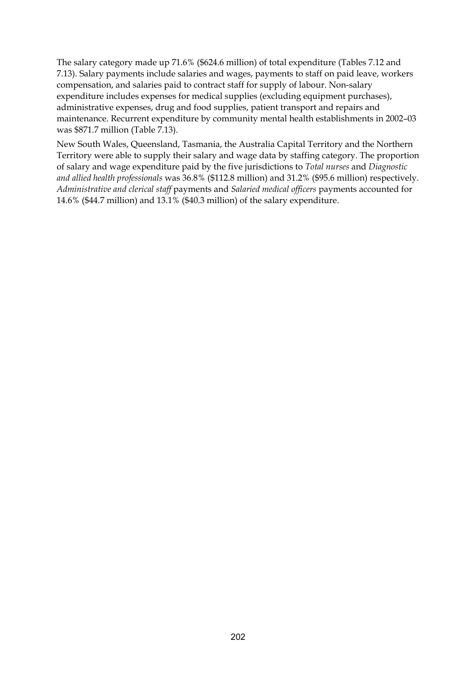The salary category made up 71.6% (\$624.6 million) of total expenditure (Tables 7.12 and 7.13). Salary payments include salaries and wages, payments to staff on paid leave, workers compensation, and salaries paid to contract staff for supply of labour. Non-salary expenditure includes expenses for medical supplies (excluding equipment purchases), administrative expenses, drug and food supplies, patient transport and repairs and maintenance. Recurrent expenditure by community mental health establishments in 2002–03 was \$871.7 million (Table 7.13).

New South Wales, Queensland, Tasmania, the Australia Capital Territory and the Northern Territory were able to supply their salary and wage data by staffing category. The proportion of salary and wage expenditure paid by the five jurisdictions to *Total nurses* and *Diagnostic and allied health professionals* was 36.8% (\$112.8 million) and 31.2% (\$95.6 million) respectively. *Administrative and clerical staff* payments and *Salaried medical officers* payments accounted for 14.6% (\$44.7 million) and 13.1% (\$40.3 million) of the salary expenditure.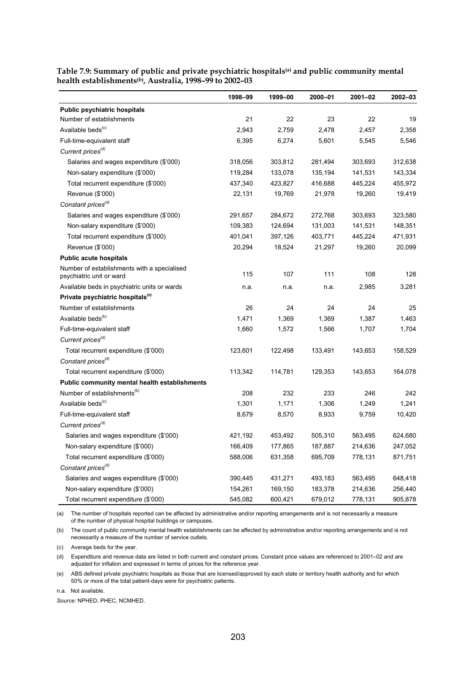|                                                                         | 1998-99 | 1999-00 | 2000-01 | 2001-02 | 2002-03 |
|-------------------------------------------------------------------------|---------|---------|---------|---------|---------|
| <b>Public psychiatric hospitals</b>                                     |         |         |         |         |         |
| Number of establishments                                                | 21      | 22      | 23      | 22      | 19      |
| Available beds <sup>(c)</sup>                                           | 2,943   | 2,759   | 2,478   | 2,457   | 2,358   |
| Full-time-equivalent staff                                              | 6,395   | 6,274   | 5,601   | 5,545   | 5,546   |
| Current prices <sup>(d)</sup>                                           |         |         |         |         |         |
| Salaries and wages expenditure (\$'000)                                 | 318,056 | 303,812 | 281,494 | 303,693 | 312,638 |
| Non-salary expenditure (\$'000)                                         | 119,284 | 133,078 | 135,194 | 141,531 | 143,334 |
| Total recurrent expenditure (\$'000)                                    | 437,340 | 423,827 | 416,688 | 445,224 | 455,972 |
| Revenue (\$'000)                                                        | 22,131  | 19,769  | 21,978  | 19,260  | 19,419  |
| Constant prices <sup>(d)</sup>                                          |         |         |         |         |         |
| Salaries and wages expenditure (\$'000)                                 | 291,657 | 284,672 | 272,768 | 303,693 | 323,580 |
| Non-salary expenditure (\$'000)                                         | 109,383 | 124,694 | 131,003 | 141,531 | 148,351 |
| Total recurrent expenditure (\$'000)                                    | 401,041 | 397,126 | 403,771 | 445,224 | 471,931 |
| Revenue (\$'000)                                                        | 20,294  | 18,524  | 21,297  | 19,260  | 20,099  |
| <b>Public acute hospitals</b>                                           |         |         |         |         |         |
| Number of establishments with a specialised<br>psychiatric unit or ward | 115     | 107     | 111     | 108     | 128     |
| Available beds in psychiatric units or wards                            | n.a.    | n.a.    | n.a.    | 2,985   | 3,281   |
| Private psychiatric hospitals <sup>(e)</sup>                            |         |         |         |         |         |
| Number of establishments                                                | 26      | 24      | 24      | 24      | 25      |
| Available beds <sup>(b)</sup>                                           | 1,471   | 1,369   | 1,369   | 1,387   | 1,463   |
| Full-time-equivalent staff                                              | 1,660   | 1,572   | 1,566   | 1,707   | 1,704   |
| Current prices <sup>(d)</sup>                                           |         |         |         |         |         |
| Total recurrent expenditure (\$'000)                                    | 123,601 | 122,498 | 133,491 | 143,653 | 158,529 |
| Constant prices <sup>(d)</sup>                                          |         |         |         |         |         |
| Total recurrent expenditure (\$'000)                                    | 113,342 | 114,781 | 129,353 | 143,653 | 164,078 |
| <b>Public community mental health establishments</b>                    |         |         |         |         |         |
| Number of establishments <sup>(b)</sup>                                 | 208     | 232     | 233     | 246     | 242     |
| Available beds <sup>(c)</sup>                                           | 1,301   | 1,171   | 1,306   | 1,249   | 1,241   |
| Full-time-equivalent staff                                              | 8,679   | 8,570   | 8,933   | 9,759   | 10,420  |
| Current prices <sup>(d)</sup>                                           |         |         |         |         |         |
| Salaries and wages expenditure (\$'000)                                 | 421,192 | 453,492 | 505,310 | 563,495 | 624,680 |
| Non-salary expenditure (\$'000)                                         | 166,409 | 177,865 | 187,887 | 214,636 | 247,052 |
| Total recurrent expenditure (\$'000)                                    | 588,006 | 631,358 | 695,709 | 778,131 | 871,751 |
| Constant prices <sup>(d)</sup>                                          |         |         |         |         |         |
| Salaries and wages expenditure (\$'000)                                 | 390,445 | 431,271 | 493,183 | 563,495 | 648,418 |
| Non-salary expenditure (\$'000)                                         | 154,261 | 169,150 | 183,378 | 214,636 | 256,440 |
| Total recurrent expenditure (\$'000)                                    | 545,082 | 600,421 | 679,012 | 778,131 | 905,878 |

**Table 7.9: Summary of public and private psychiatric hospitals(a) and public community mental health establishments(b), Australia, 1998–99 to 2002–03**

(a) The number of hospitals reported can be affected by administrative and/or reporting arrangements and is not necessarily a measure of the number of physical hospital buildings or campuses.

(b) The count of public community mental health establishments can be affected by administrative and/or reporting arrangements and is not necessarily a measure of the number of service outlets.

(c) Average beds for the year.

(d) Expenditure and revenue data are listed in both current and constant prices. Constant price values are referenced to 2001–02 and are adjusted for inflation and expressed in terms of prices for the reference year.

(e) ABS defined private psychiatric hospitals as those that are licensed/approved by each state or territory health authority and for which 50% or more of the total patient-days were for psychiatric patients.

n.a. Not available.

*Source:* NPHED, PHEC, NCMHED.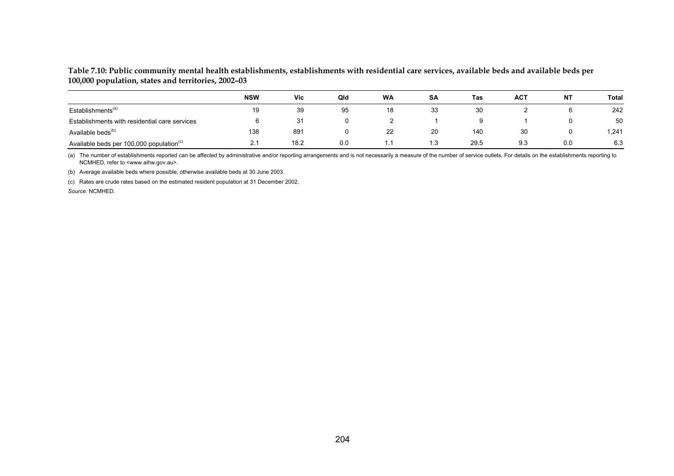### **Table 7.10: Public community mental health establishments, establishments with residential care services, available beds and available beds per 100,000 population, states and territories, 2002–03**

|                                                      | <b>NSW</b> | <b>Vic</b> | Qld | <b>WA</b> | <b>SA</b> | Tas  | <b>ACT</b> | ΝT  | Total |
|------------------------------------------------------|------------|------------|-----|-----------|-----------|------|------------|-----|-------|
| Establishments <sup>(a)</sup>                        | 19         | 39         | 95  | 18        | 33        | 30   |            | υ   | 242   |
| Establishments with residential care services        |            | 31         |     |           |           |      |            |     | 50    |
| Available beds <sup>(b)</sup>                        | 138        | 89'        |     | 22        | 20        | 140  | 30         | 0   | 1,241 |
| Available beds per 100,000 population <sup>(c)</sup> |            | 18.2       | 0.0 | . .       | 1.3       | 29.5 | 9.3        | 0.0 | 6.3   |

(a) The number of establishments reported can be affected by administrative and/or reporting arrangements and is not necessarily a measure of the number of service outlets. For details on the establishments reporting to NCMHED, refer to <www.aihw.gov.au>.

(b) Average available beds where possible; otherwise available beds at 30 June 2003.

(c) Rates are crude rates based on the estimated resident population at 31 December 2002.

*Source:* NCMHED.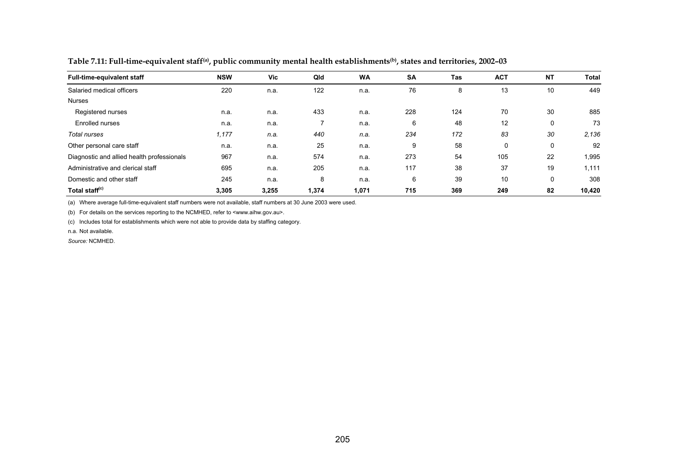| <b>Full-time-equivalent staff</b>          | <b>NSW</b> | <b>Vic</b> | Qld   | <b>WA</b> | <b>SA</b> | Tas | <b>ACT</b> | <b>NT</b> | Total  |
|--------------------------------------------|------------|------------|-------|-----------|-----------|-----|------------|-----------|--------|
| Salaried medical officers                  | 220        | n.a.       | 122   | n.a.      | 76        | 8   | 13         | 10        | 449    |
| <b>Nurses</b>                              |            |            |       |           |           |     |            |           |        |
| Registered nurses                          | n.a.       | n.a.       | 433   | n.a.      | 228       | 124 | 70         | 30        | 885    |
| Enrolled nurses                            | n.a.       | n.a.       |       | n.a.      | 6         | 48  | 12         | 0         | 73     |
| Total nurses                               | 1,177      | n.a.       | 440   | n.a.      | 234       | 172 | 83         | 30        | 2.136  |
| Other personal care staff                  | n.a.       | n.a.       | 25    | n.a.      | 9         | 58  | $\Omega$   | 0         | 92     |
| Diagnostic and allied health professionals | 967        | n.a.       | 574   | n.a.      | 273       | 54  | 105        | 22        | 1,995  |
| Administrative and clerical staff          | 695        | n.a.       | 205   | n.a.      | 117       | 38  | 37         | 19        | 1,111  |
| Domestic and other staff                   | 245        | n.a.       | 8     | n.a.      | 6         | 39  | 10         | 0         | 308    |
| Total staff <sup>(c)</sup>                 | 3,305      | 3,255      | 1,374 | 1,071     | 715       | 369 | 249        | 82        | 10,420 |

**Table 7.11: Full-time-equivalent staff(a), public community mental health establishments(b), states and territories, 2002–03** 

(a) Where average full-time-equivalent staff numbers were not available, staff numbers at 30 June 2003 were used.

(b) For details on the services reporting to the NCMHED, refer to <www.aihw.gov.au>.

(c) Includes total for establishments which were not able to provide data by staffing category.

n.a. Not available.

*Source:* NCMHED.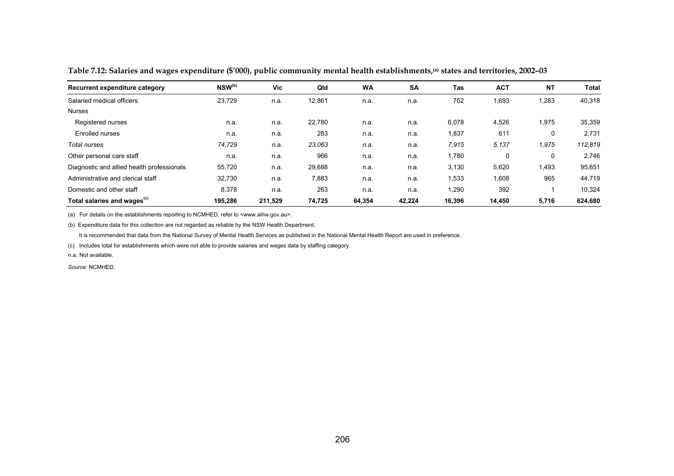| Recurrent expenditure category             | NSW <sup>(b)</sup> | Vic     | Qld    | <b>WA</b> | <b>SA</b> | Tas    | <b>ACT</b> | <b>NT</b> | Total   |
|--------------------------------------------|--------------------|---------|--------|-----------|-----------|--------|------------|-----------|---------|
| Salaried medical officers                  | 23,729             | n.a.    | 12,861 | n.a.      | n.a.      | 752    | 1,693      | 1,283     | 40,318  |
| <b>Nurses</b>                              |                    |         |        |           |           |        |            |           |         |
| Registered nurses                          | n.a.               | n.a.    | 22,780 | n.a.      | n.a.      | 6,078  | 4,526      | 1,975     | 35,359  |
| Enrolled nurses                            | n.a.               | n.a.    | 283    | n.a.      | n.a.      | 1,837  | 611        | 0         | 2,731   |
| Total nurses                               | 74,729             | n.a.    | 23,063 | n.a.      | n.a.      | 7,915  | 5,137      | 1,975     | 112,819 |
| Other personal care staff                  | n.a.               | n.a.    | 966    | n.a.      | n.a.      | 1,780  | 0          | 0         | 2,746   |
| Diagnostic and allied health professionals | 55,720             | n.a.    | 29,688 | n.a.      | n.a.      | 3,130  | 5,620      | 1,493     | 95,651  |
| Administrative and clerical staff          | 32,730             | n.a.    | 7,883  | n.a.      | n.a.      | 1,533  | 1,608      | 965       | 44,719  |
| Domestic and other staff                   | 8,378              | n.a.    | 263    | n.a.      | n.a.      | 1,290  | 392        |           | 10,324  |
| Total salaries and wages <sup>(c)</sup>    | 195,286            | 211,529 | 74,725 | 64,354    | 42,224    | 16,396 | 14,450     | 5,716     | 624,680 |

**Table 7.12: Salaries and wages expenditure (\$'000), public community mental health establishments,(a) states and territories, 2002–03** 

(a) For details on the establishments reporting to NCMHED, refer to <www.aihw.gov.au>.

(b) Expenditure data for this collection are not regarded as reliable by the NSW Health Department.

It is recommended that data from the National Survey of Mental Health Services as published in the National Mental Health Report are used in preference.

(c) Includes total for establishments which were not able to provide salaries and wages data by staffing category.

n.a. Not available.

*Source:* NCMHED.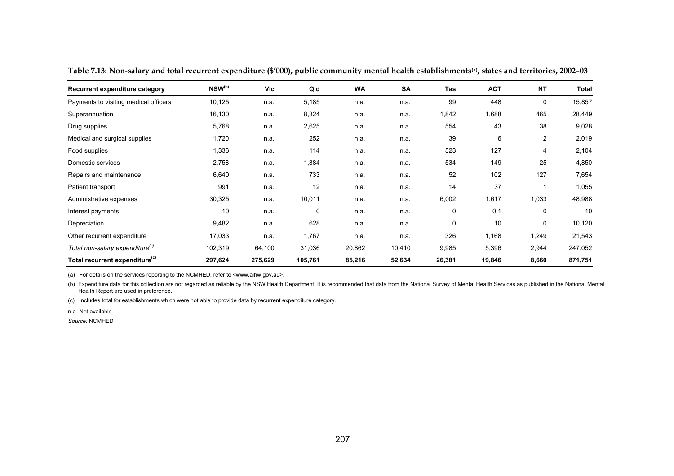| Recurrent expenditure category              | $NSW^{(b)}$ | Vic     | Qld     | WA     | SA     | Tas    | <b>ACT</b> | <b>NT</b> | <b>Total</b> |
|---------------------------------------------|-------------|---------|---------|--------|--------|--------|------------|-----------|--------------|
| Payments to visiting medical officers       | 10,125      | n.a.    | 5,185   | n.a.   | n.a.   | 99     | 448        | 0         | 15,857       |
| Superannuation                              | 16,130      | n.a.    | 8,324   | n.a.   | n.a.   | 1,842  | 1,688      | 465       | 28,449       |
| Drug supplies                               | 5,768       | n.a.    | 2,625   | n.a.   | n.a.   | 554    | 43         | 38        | 9,028        |
| Medical and surgical supplies               | 1,720       | n.a.    | 252     | n.a.   | n.a.   | 39     | 6          | 2         | 2,019        |
| Food supplies                               | 1,336       | n.a.    | 114     | n.a.   | n.a.   | 523    | 127        | 4         | 2,104        |
| Domestic services                           | 2,758       | n.a.    | 1,384   | n.a.   | n.a.   | 534    | 149        | 25        | 4,850        |
| Repairs and maintenance                     | 6,640       | n.a.    | 733     | n.a.   | n.a.   | 52     | 102        | 127       | 7,654        |
| Patient transport                           | 991         | n.a.    | 12      | n.a.   | n.a.   | 14     | 37         |           | 1,055        |
| Administrative expenses                     | 30,325      | n.a.    | 10,011  | n.a.   | n.a.   | 6,002  | 1,617      | 1,033     | 48,988       |
| Interest payments                           | 10          | n.a.    | 0       | n.a.   | n.a.   | 0      | 0.1        | 0         | 10           |
| Depreciation                                | 9,482       | n.a.    | 628     | n.a.   | n.a.   | 0      | 10         | 0         | 10,120       |
| Other recurrent expenditure                 | 17,033      | n.a.    | 1,767   | n.a.   | n.a.   | 326    | 1,168      | 1,249     | 21,543       |
| Total non-salary expenditure <sup>(c)</sup> | 102,319     | 64,100  | 31,036  | 20,862 | 10,410 | 9,985  | 5,396      | 2,944     | 247,052      |
| Total recurrent expenditure <sup>(c)</sup>  | 297,624     | 275,629 | 105,761 | 85,216 | 52,634 | 26,381 | 19,846     | 8,660     | 871,751      |

**Table 7.13: Non-salary and total recurrent expenditure (\$'000), public community mental health establishments(a), states and territories, 2002–03** 

(a) For details on the services reporting to the NCMHED, refer to <www.aihw.gov.au>.

(b) Expenditure data for this collection are not regarded as reliable by the NSW Health Department. It is recommended that data from the National Survey of Mental Health Services as published in the National Mental Health Report are used in preference.

(c) Includes total for establishments which were not able to provide data by recurrent expenditure category.

n.a. Not available.

*Source:* NCMHED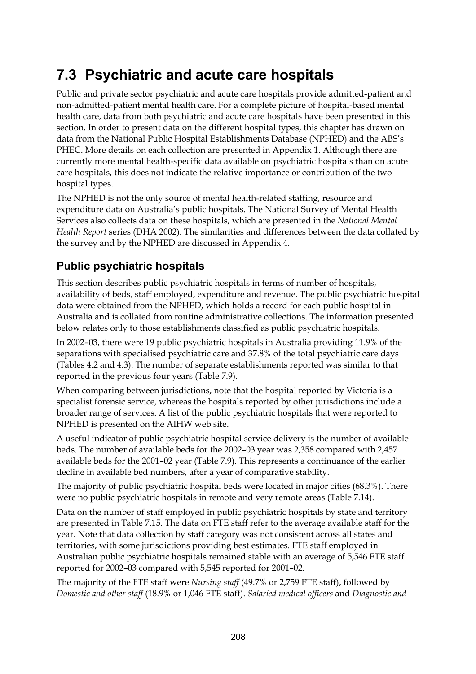# **7.3 Psychiatric and acute care hospitals**

Public and private sector psychiatric and acute care hospitals provide admitted-patient and non-admitted-patient mental health care. For a complete picture of hospital-based mental health care, data from both psychiatric and acute care hospitals have been presented in this section. In order to present data on the different hospital types, this chapter has drawn on data from the National Public Hospital Establishments Database (NPHED) and the ABS's PHEC. More details on each collection are presented in Appendix 1. Although there are currently more mental health-specific data available on psychiatric hospitals than on acute care hospitals, this does not indicate the relative importance or contribution of the two hospital types.

The NPHED is not the only source of mental health-related staffing, resource and expenditure data on Australia's public hospitals. The National Survey of Mental Health Services also collects data on these hospitals, which are presented in the *National Mental Health Report* series (DHA 2002). The similarities and differences between the data collated by the survey and by the NPHED are discussed in Appendix 4.

### **Public psychiatric hospitals**

This section describes public psychiatric hospitals in terms of number of hospitals, availability of beds, staff employed, expenditure and revenue. The public psychiatric hospital data were obtained from the NPHED, which holds a record for each public hospital in Australia and is collated from routine administrative collections. The information presented below relates only to those establishments classified as public psychiatric hospitals.

In 2002–03, there were 19 public psychiatric hospitals in Australia providing 11.9% of the separations with specialised psychiatric care and 37.8% of the total psychiatric care days (Tables 4.2 and 4.3). The number of separate establishments reported was similar to that reported in the previous four years (Table 7.9).

When comparing between jurisdictions, note that the hospital reported by Victoria is a specialist forensic service, whereas the hospitals reported by other jurisdictions include a broader range of services. A list of the public psychiatric hospitals that were reported to NPHED is presented on the AIHW web site.

A useful indicator of public psychiatric hospital service delivery is the number of available beds. The number of available beds for the 2002–03 year was 2,358 compared with 2,457 available beds for the 2001–02 year (Table 7.9). This represents a continuance of the earlier decline in available bed numbers, after a year of comparative stability.

The majority of public psychiatric hospital beds were located in major cities (68.3%). There were no public psychiatric hospitals in remote and very remote areas (Table 7.14).

Data on the number of staff employed in public psychiatric hospitals by state and territory are presented in Table 7.15. The data on FTE staff refer to the average available staff for the year. Note that data collection by staff category was not consistent across all states and territories, with some jurisdictions providing best estimates. FTE staff employed in Australian public psychiatric hospitals remained stable with an average of 5,546 FTE staff reported for 2002–03 compared with 5,545 reported for 2001–02.

The majority of the FTE staff were *Nursing staff* (49.7% or 2,759 FTE staff), followed by *Domestic and other staff* (18.9% or 1,046 FTE staff). *Salaried medical officers* and *Diagnostic and*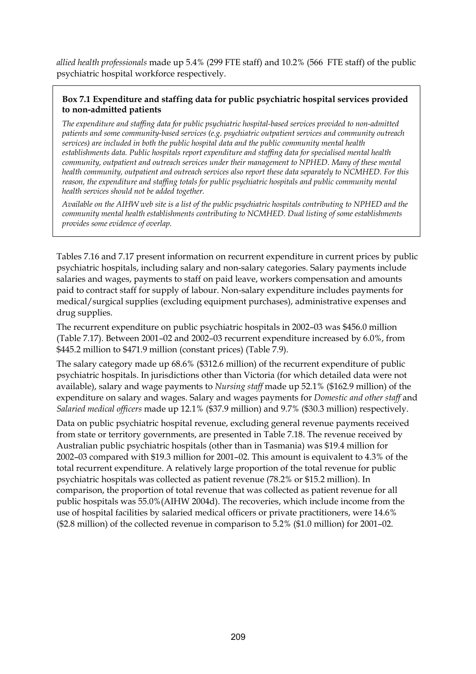*allied health professionals* made up 5.4% (299 FTE staff) and 10.2% (566 FTE staff) of the public psychiatric hospital workforce respectively.

### **Box 7.1 Expenditure and staffing data for public psychiatric hospital services provided to non-admitted patients**

*The expenditure and staffing data for public psychiatric hospital-based services provided to non-admitted patients and some community-based services (e.g. psychiatric outpatient services and community outreach services) are included in both the public hospital data and the public community mental health establishments data. Public hospitals report expenditure and staffing data for specialised mental health community, outpatient and outreach services under their management to NPHED. Many of these mental health community, outpatient and outreach services also report these data separately to NCMHED. For this reason, the expenditure and staffing totals for public psychiatric hospitals and public community mental health services should not be added together.* 

*Available on the AIHW web site is a list of the public psychiatric hospitals contributing to NPHED and the community mental health establishments contributing to NCMHED. Dual listing of some establishments provides some evidence of overlap.* 

Tables 7.16 and 7.17 present information on recurrent expenditure in current prices by public psychiatric hospitals, including salary and non-salary categories. Salary payments include salaries and wages, payments to staff on paid leave, workers compensation and amounts paid to contract staff for supply of labour. Non-salary expenditure includes payments for medical/surgical supplies (excluding equipment purchases), administrative expenses and drug supplies.

The recurrent expenditure on public psychiatric hospitals in 2002–03 was \$456.0 million (Table 7.17). Between 2001–02 and 2002–03 recurrent expenditure increased by 6.0%, from \$445.2 million to \$471.9 million (constant prices) (Table 7.9).

The salary category made up 68.6% (\$312.6 million) of the recurrent expenditure of public psychiatric hospitals. In jurisdictions other than Victoria (for which detailed data were not available), salary and wage payments to *Nursing staff* made up 52.1% (\$162.9 million) of the expenditure on salary and wages. Salary and wages payments for *Domestic and other staff* and *Salaried medical officers* made up 12.1% (\$37.9 million) and 9.7% (\$30.3 million) respectively.

Data on public psychiatric hospital revenue, excluding general revenue payments received from state or territory governments, are presented in Table 7.18. The revenue received by Australian public psychiatric hospitals (other than in Tasmania) was \$19.4 million for 2002–03 compared with \$19.3 million for 2001–02. This amount is equivalent to 4.3% of the total recurrent expenditure. A relatively large proportion of the total revenue for public psychiatric hospitals was collected as patient revenue (78.2% or \$15.2 million). In comparison, the proportion of total revenue that was collected as patient revenue for all public hospitals was 55.0%(AIHW 2004d). The recoveries, which include income from the use of hospital facilities by salaried medical officers or private practitioners, were 14.6% (\$2.8 million) of the collected revenue in comparison to 5.2% (\$1.0 million) for 2001–02.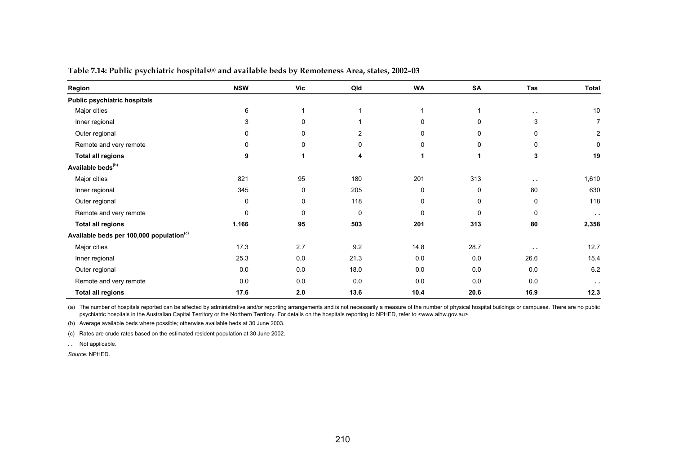| Region                                               | <b>NSW</b>  | Vic | Qld         | <b>WA</b>    | SA          | Tas           | Total         |
|------------------------------------------------------|-------------|-----|-------------|--------------|-------------|---------------|---------------|
| Public psychiatric hospitals                         |             |     |             |              |             |               |               |
| Major cities                                         | 6           |     |             |              |             | $\sim$ $\sim$ | 10            |
| Inner regional                                       | 3           | 0   |             | 0            | $\Omega$    | 3             | 7             |
| Outer regional                                       | 0           | 0   | 2           | 0            | 0           | 0             | 2             |
| Remote and very remote                               | 0           | 0   | 0           | 0            | $\mathbf 0$ | 0             | 0             |
| <b>Total all regions</b>                             | 9           | 1   | 4           | 1            | 1           | 3             | 19            |
| Available beds <sup>(b)</sup>                        |             |     |             |              |             |               |               |
| Major cities                                         | 821         | 95  | 180         | 201          | 313         | $\sim$ $\sim$ | 1,610         |
| Inner regional                                       | 345         | 0   | 205         | 0            | 0           | 80            | 630           |
| Outer regional                                       | 0           | 0   | 118         | 0            | $\mathbf 0$ | 0             | 118           |
| Remote and very remote                               | $\mathbf 0$ | 0   | $\mathbf 0$ | $\mathbf{0}$ | $\mathbf 0$ | $\mathbf 0$   | $\sim$ $\sim$ |
| <b>Total all regions</b>                             | 1,166       | 95  | 503         | 201          | 313         | 80            | 2,358         |
| Available beds per 100,000 population <sup>(c)</sup> |             |     |             |              |             |               |               |
| Major cities                                         | 17.3        | 2.7 | 9.2         | 14.8         | 28.7        | $\sim$ $\sim$ | 12.7          |
| Inner regional                                       | 25.3        | 0.0 | 21.3        | 0.0          | 0.0         | 26.6          | 15.4          |
| Outer regional                                       | 0.0         | 0.0 | 18.0        | 0.0          | 0.0         | 0.0           | 6.2           |
| Remote and very remote                               | 0.0         | 0.0 | 0.0         | 0.0          | 0.0         | 0.0           | $\sim$ $\sim$ |
| <b>Total all regions</b>                             | 17.6        | 2.0 | 13.6        | 10.4         | 20.6        | 16.9          | 12.3          |

**Table 7.14: Public psychiatric hospitals(a) and available beds by Remoteness Area, states, 2002–03** 

(a) The number of hospitals reported can be affected by administrative and/or reporting arrangements and is not necessarily a measure of the number of physical hospital buildings or campuses. There are no public psychiatric hospitals in the Australian Capital Territory or the Northern Territory. For details on the hospitals reporting to NPHED, refer to <www.aihw.gov.au>.

(b) Average available beds where possible; otherwise available beds at 30 June 2003.

(c) Rates are crude rates based on the estimated resident population at 30 June 2002.

**. .** Not applicable.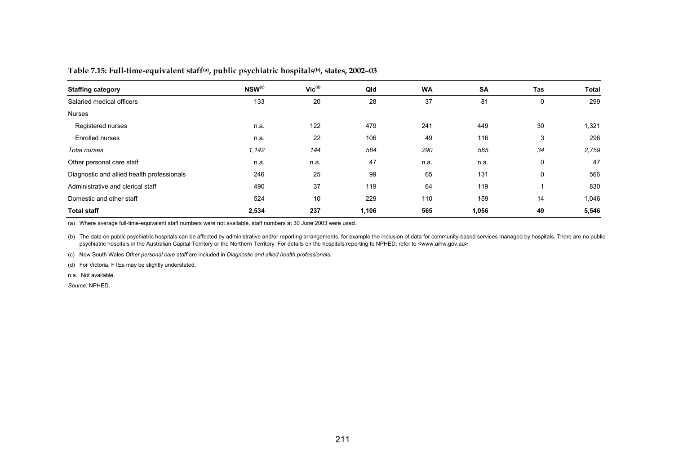### **Table 7.15: Full-time-equivalent staff(a), public psychiatric hospitals(b), states, 2002–03**

| <b>Staffing category</b>                   | NSW <sup>(c)</sup> | $\mathsf{Vic}^{\mathsf{(d)}}$ | Qld   | <b>WA</b> | SA    | Tas | Total |
|--------------------------------------------|--------------------|-------------------------------|-------|-----------|-------|-----|-------|
| Salaried medical officers                  | 133                | 20                            | 28    | 37        | 81    | 0   | 299   |
| <b>Nurses</b>                              |                    |                               |       |           |       |     |       |
| Registered nurses                          | n.a.               | 122                           | 479   | 241       | 449   | 30  | 1,321 |
| Enrolled nurses                            | n.a.               | 22                            | 106   | 49        | 116   | 3   | 296   |
| Total nurses                               | 1,142              | 144                           | 584   | 290       | 565   | 34  | 2,759 |
| Other personal care staff                  | n.a.               | n.a.                          | 47    | n.a.      | n.a.  | 0   | 47    |
| Diagnostic and allied health professionals | 246                | 25                            | 99    | 65        | 131   | 0   | 566   |
| Administrative and clerical staff          | 490                | 37                            | 119   | 64        | 119   |     | 830   |
| Domestic and other staff                   | 524                | 10                            | 229   | 110       | 159   | 14  | 1,046 |
| <b>Total staff</b>                         | 2,534              | 237                           | 1,106 | 565       | 1,056 | 49  | 5,546 |

(a) Where average full-time-equivalent staff numbers were not available, staff numbers at 30 June 2003 were used.

(b) The data on public psychiatric hospitals can be affected by administrative and/or reporting arrangements, for example the inclusion of data for community-based services managed by hospitals. There are no public psychiatric hospitals in the Australian Capital Territory or the Northern Territory. For details on the hospitals reporting to NPHED, refer to <www.aihw.gov.au>.

(c) New South Wales *Other personal care staff* are included in *Diagnostic and allied health professionals*.

(d) For Victoria, FTEs may be slightly understated.

n.a. Not available.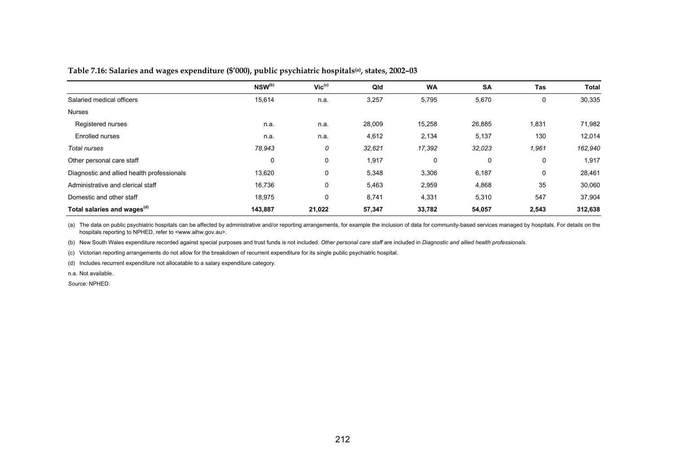### **Table 7.16: Salaries and wages expenditure (\$'000), public psychiatric hospitals(a), states, 2002–03**

|                                            | NSW <sup>(b)</sup> | $Vic^{(c)}$ | Qld    | <b>WA</b> | <b>SA</b> | Tas   | <b>Total</b> |
|--------------------------------------------|--------------------|-------------|--------|-----------|-----------|-------|--------------|
| Salaried medical officers                  | 15,614             | n.a.        | 3,257  | 5,795     | 5,670     | 0     | 30,335       |
| <b>Nurses</b>                              |                    |             |        |           |           |       |              |
| Registered nurses                          | n.a.               | n.a.        | 28,009 | 15,258    | 26,885    | 1,831 | 71,982       |
| Enrolled nurses                            | n.a.               | n.a.        | 4,612  | 2,134     | 5,137     | 130   | 12,014       |
| Total nurses                               | 78,943             | 0           | 32,621 | 17,392    | 32,023    | 1,961 | 162,940      |
| Other personal care staff                  | 0                  | 0           | 1,917  | 0         | 0         | 0     | 1,917        |
| Diagnostic and allied health professionals | 13,620             | 0           | 5,348  | 3,306     | 6,187     | 0     | 28,461       |
| Administrative and clerical staff          | 16,736             | 0           | 5,463  | 2,959     | 4,868     | 35    | 30,060       |
| Domestic and other staff                   | 18,975             | 0           | 8,741  | 4,331     | 5,310     | 547   | 37,904       |
| Total salaries and wages <sup>(d)</sup>    | 143,887            | 21,022      | 57,347 | 33,782    | 54,057    | 2,543 | 312,638      |

(a) The data on public psychiatric hospitals can be affected by administrative and/or reporting arrangements, for example the inclusion of data for community-based services managed by hospitals. For details on the hospitals reporting to NPHED, refer to <www.aihw.gov.au>.

(b) New South Wales expenditure recorded against special purposes and trust funds is not included. *Other personal care staff* are included in *Diagnostic and allied health professionals*.

(c) Victorian reporting arrangements do not allow for the breakdown of recurrent expenditure for its single public psychiatric hospital.

(d) Includes recurrent expenditure not allocatable to a salary expenditure category.

n.a. Not available.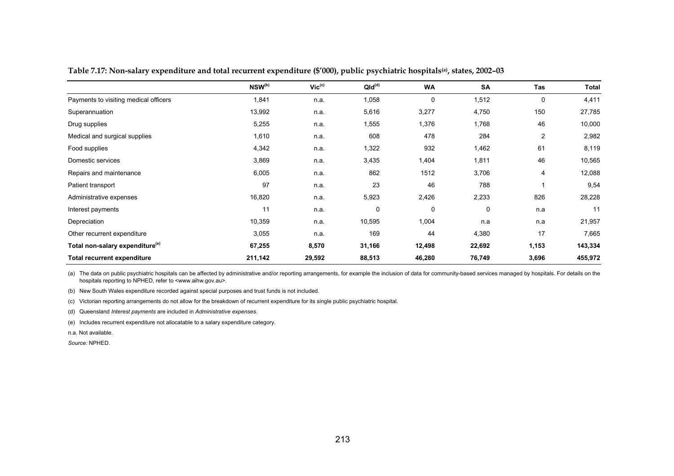|                                             | NSW <sup>(b)</sup> | $\mathsf{Vic}^{\text{(c)}}$ | QId <sup>(d)</sup> | <b>WA</b>   | <b>SA</b> | Tas            | Total   |
|---------------------------------------------|--------------------|-----------------------------|--------------------|-------------|-----------|----------------|---------|
| Payments to visiting medical officers       | 1,841              | n.a.                        | 1,058              | $\mathbf 0$ | 1,512     | $\mathbf 0$    | 4,411   |
| Superannuation                              | 13,992             | n.a.                        | 5,616              | 3,277       | 4,750     | 150            | 27,785  |
| Drug supplies                               | 5,255              | n.a.                        | 1,555              | 1,376       | 1,768     | 46             | 10,000  |
| Medical and surgical supplies               | 1,610              | n.a.                        | 608                | 478         | 284       | $\overline{2}$ | 2,982   |
| Food supplies                               | 4,342              | n.a.                        | 1,322              | 932         | 1,462     | 61             | 8,119   |
| Domestic services                           | 3,869              | n.a.                        | 3,435              | 1,404       | 1,811     | 46             | 10,565  |
| Repairs and maintenance                     | 6,005              | n.a.                        | 862                | 1512        | 3,706     | 4              | 12,088  |
| Patient transport                           | 97                 | n.a.                        | 23                 | 46          | 788       |                | 9,54    |
| Administrative expenses                     | 16,820             | n.a.                        | 5,923              | 2,426       | 2,233     | 826            | 28,228  |
| Interest payments                           | 11                 | n.a.                        | 0                  | $\mathbf 0$ | 0         | n.a            | 11      |
| Depreciation                                | 10,359             | n.a.                        | 10,595             | 1,004       | n a       | n.a            | 21,957  |
| Other recurrent expenditure                 | 3,055              | n.a.                        | 169                | 44          | 4,380     | 17             | 7,665   |
| Total non-salary expenditure <sup>(e)</sup> | 67,255             | 8,570                       | 31,166             | 12,498      | 22,692    | 1,153          | 143,334 |
| <b>Total recurrent expenditure</b>          | 211,142            | 29,592                      | 88,513             | 46,280      | 76,749    | 3,696          | 455,972 |

**Table 7.17: Non-salary expenditure and total recurrent expenditure (\$'000), public psychiatric hospitals(a), states, 2002–03** 

(a) The data on public psychiatric hospitals can be affected by administrative and/or reporting arrangements, for example the inclusion of data for community-based services managed by hospitals. For details on the hospitals reporting to NPHED, refer to <www.aihw.gov.au>.

(b) New South Wales expenditure recorded against special purposes and trust funds is not included.

(c) Victorian reporting arrangements do not allow for the breakdown of recurrent expenditure for its single public psychiatric hospital.

(d) Queensland *Interest payments* are included in *Administrative expenses*.

(e) Includes recurrent expenditure not allocatable to a salary expenditure category.

n.a. Not available.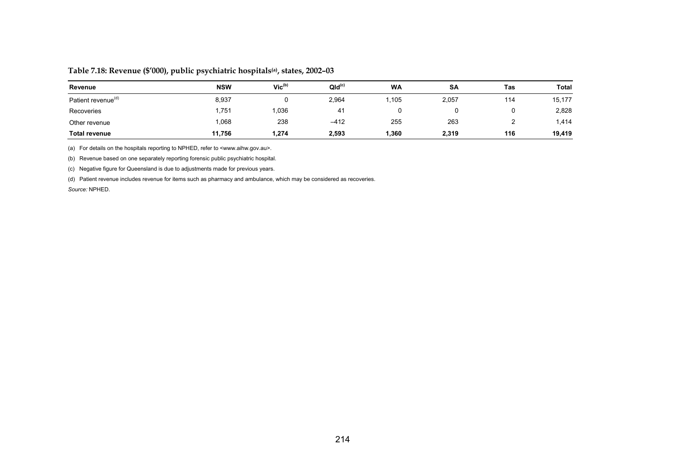| Revenue                        | <b>NSW</b> | Vic <sup>(b)</sup> | $QId^{(c)}$ | <b>WA</b> | <b>SA</b> | Tas | <b>Total</b> |
|--------------------------------|------------|--------------------|-------------|-----------|-----------|-----|--------------|
| Patient revenue <sup>(d)</sup> | 8,937      |                    | 2,964       | .105      | 2,057     | 114 | 15,177       |
| Recoveries                     | .751       | 1,036              | 41          |           |           |     | 2,828        |
| Other revenue                  | 1,068      | 238                | $-412$      | 255       | 263       | ົ   | 1,414        |
| <b>Total revenue</b>           | 11,756     | 1,274              | 2,593       | 1,360     | 2,319     | 116 | 19,419       |

### **Table 7.18: Revenue (\$'000), public psychiatric hospitals(a), states, 2002–03**

(a) For details on the hospitals reporting to NPHED, refer to <www.aihw.gov.au>.

(b) Revenue based on one separately reporting forensic public psychiatric hospital.

(c) Negative figure for Queensland is due to adjustments made for previous years.

(d) Patient revenue includes revenue for items such as pharmacy and ambulance, which may be considered as recoveries.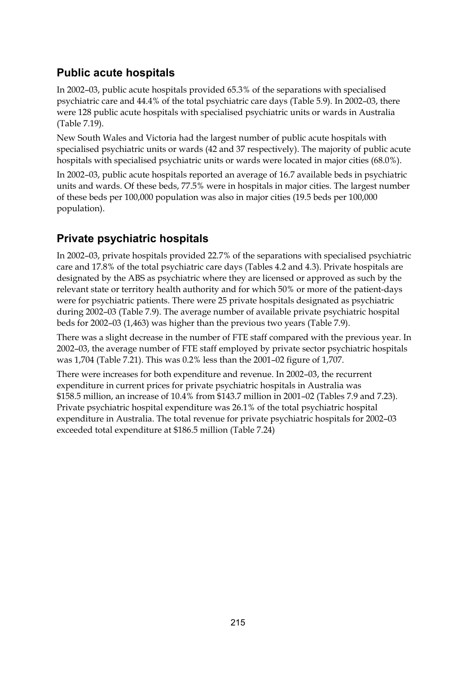# **Public acute hospitals**

In 2002–03, public acute hospitals provided 65.3% of the separations with specialised psychiatric care and 44.4% of the total psychiatric care days (Table 5.9). In 2002–03, there were 128 public acute hospitals with specialised psychiatric units or wards in Australia (Table 7.19).

New South Wales and Victoria had the largest number of public acute hospitals with specialised psychiatric units or wards (42 and 37 respectively). The majority of public acute hospitals with specialised psychiatric units or wards were located in major cities (68.0%).

In 2002–03, public acute hospitals reported an average of 16.7 available beds in psychiatric units and wards. Of these beds, 77.5% were in hospitals in major cities. The largest number of these beds per 100,000 population was also in major cities (19.5 beds per 100,000 population).

# **Private psychiatric hospitals**

In 2002–03, private hospitals provided 22.7% of the separations with specialised psychiatric care and 17.8% of the total psychiatric care days (Tables 4.2 and 4.3). Private hospitals are designated by the ABS as psychiatric where they are licensed or approved as such by the relevant state or territory health authority and for which 50% or more of the patient-days were for psychiatric patients. There were 25 private hospitals designated as psychiatric during 2002–03 (Table 7.9). The average number of available private psychiatric hospital beds for 2002–03 (1,463) was higher than the previous two years (Table 7.9).

There was a slight decrease in the number of FTE staff compared with the previous year. In 2002–03, the average number of FTE staff employed by private sector psychiatric hospitals was 1,704 (Table 7.21). This was 0.2% less than the 2001–02 figure of 1,707.

There were increases for both expenditure and revenue. In 2002–03, the recurrent expenditure in current prices for private psychiatric hospitals in Australia was \$158.5 million, an increase of 10.4% from \$143.7 million in 2001–02 (Tables 7.9 and 7.23). Private psychiatric hospital expenditure was 26.1% of the total psychiatric hospital expenditure in Australia. The total revenue for private psychiatric hospitals for 2002–03 exceeded total expenditure at \$186.5 million (Table 7.24)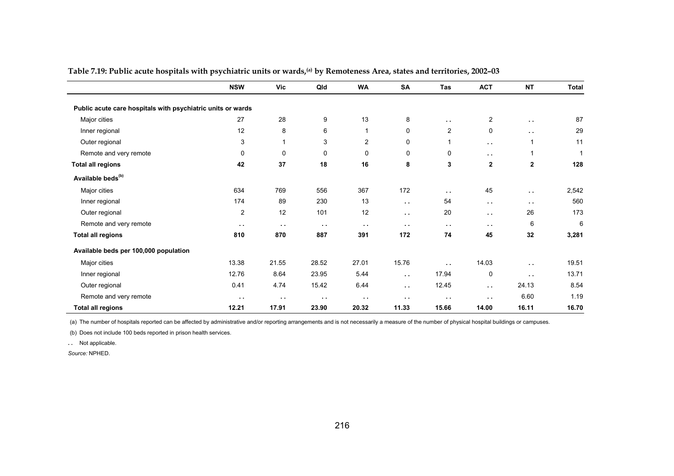|                                                             | <b>NSW</b>     | Vic           | Qld    | <b>WA</b>      | <b>SA</b>     | Tas            | <b>ACT</b>     | <b>NT</b>     | <b>Total</b> |
|-------------------------------------------------------------|----------------|---------------|--------|----------------|---------------|----------------|----------------|---------------|--------------|
| Public acute care hospitals with psychiatric units or wards |                |               |        |                |               |                |                |               |              |
| Major cities                                                | 27             | 28            | 9      | 13             | 8             | $\sim$ $\sim$  | $\overline{2}$ | $\sim$ $\sim$ | 87           |
| Inner regional                                              | 12             | 8             | 6      | $\mathbf{1}$   | 0             | $\overline{c}$ | 0              | $\sim$ $\sim$ | 29           |
| Outer regional                                              | 3              | 1             | 3      | $\overline{2}$ | 0             | 1              | $\sim$ $\sim$  | $\mathbf{1}$  | 11           |
| Remote and very remote                                      | 0              | 0             | 0      | 0              | 0             | 0              | $\sim$ $\sim$  | 1             | $\mathbf 1$  |
| <b>Total all regions</b>                                    | 42             | 37            | 18     | 16             | 8             | 3              | $\mathbf{2}$   | $\mathbf{2}$  | 128          |
| Available beds <sup>(b)</sup>                               |                |               |        |                |               |                |                |               |              |
| Major cities                                                | 634            | 769           | 556    | 367            | 172           | $\sim$         | 45             | $\sim$        | 2,542        |
| Inner regional                                              | 174            | 89            | 230    | 13             | $\sim$ $\sim$ | 54             | $\sim$ $\sim$  | $\sim$ $\sim$ | 560          |
| Outer regional                                              | $\overline{2}$ | 12            | 101    | 12             | $\sim$ $\sim$ | 20             | $\sim$ $\sim$  | 26            | 173          |
| Remote and very remote                                      | $\sim$ $\sim$  | $\sim$ $\sim$ | $\sim$ | $\sim$ $\sim$  | $\sim$ $\sim$ | $\sim$ $\sim$  | $\sim$ $\sim$  | 6             | 6            |
| <b>Total all regions</b>                                    | 810            | 870           | 887    | 391            | 172           | 74             | 45             | 32            | 3,281        |
| Available beds per 100,000 population                       |                |               |        |                |               |                |                |               |              |
| Major cities                                                | 13.38          | 21.55         | 28.52  | 27.01          | 15.76         | $\sim$ $\sim$  | 14.03          | $\sim$        | 19.51        |
| Inner regional                                              | 12.76          | 8.64          | 23.95  | 5.44           | $\sim$ $\sim$ | 17.94          | 0              | $\sim$        | 13.71        |
| Outer regional                                              | 0.41           | 4.74          | 15.42  | 6.44           | $\sim 10$     | 12.45          | $\sim$ $\sim$  | 24.13         | 8.54         |
| Remote and very remote                                      | $\sim$         | $\sim$ $\sim$ | $\sim$ | $\sim$         | $\sim$ $\sim$ | $\sim$         | $\sim$ $\sim$  | 6.60          | 1.19         |
| <b>Total all regions</b>                                    | 12.21          | 17.91         | 23.90  | 20.32          | 11.33         | 15.66          | 14.00          | 16.11         | 16.70        |

**Table 7.19: Public acute hospitals with psychiatric units or wards,(a) by Remoteness Area, states and territories, 2002–03** 

(a) The number of hospitals reported can be affected by administrative and/or reporting arrangements and is not necessarily a measure of the number of physical hospital buildings or campuses.

(b) Does not include 100 beds reported in prison health services.

**. .** Not applicable.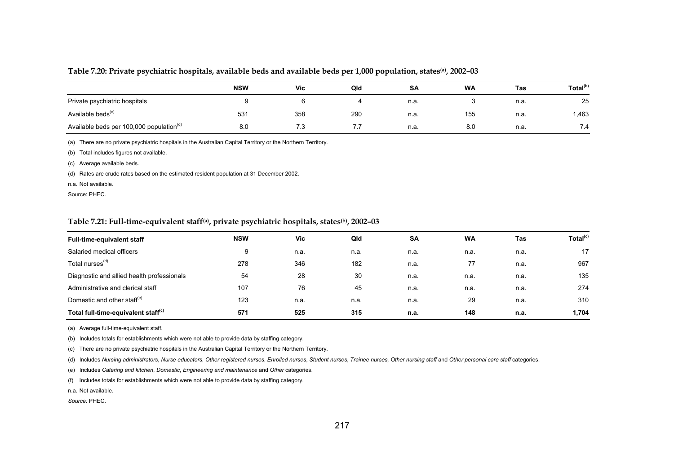#### **Table 7.20: Private psychiatric hospitals, available beds and available beds per 1,000 population, states(a), 2002–03**

|                                                      | <b>NSW</b> | <b>Vic</b> | Qld | SA   | <b>WA</b> | Tas  | Total <sup>(b)</sup> |
|------------------------------------------------------|------------|------------|-----|------|-----------|------|----------------------|
| Private psychiatric hospitals                        |            |            |     | n.a. |           | n.a. | 25                   |
| Available beds <sup>(c)</sup>                        | 531        | 358        | 290 | n.a. | 155       | n.a. | 1,463                |
| Available beds per 100,000 population <sup>(d)</sup> | 8.0        | 7.3        | 7.7 | n.a. | 8.0       | n.a. | 7.4                  |

(a) There are no private psychiatric hospitals in the Australian Capital Territory or the Northern Territory.

(b) Total includes figures not available.

(c) Average available beds.

(d) Rates are crude rates based on the estimated resident population at 31 December 2002.

n.a. Not available.

Source: PHEC.

#### **Table 7.21: Full-time-equivalent staff(a), private psychiatric hospitals, states(b), 2002–03**

| <b>Full-time-equivalent staff</b>               | <b>NSW</b> | <b>Vic</b> | Qld  | SA   | WA   | Tas  | Total <sup>(c)</sup> |
|-------------------------------------------------|------------|------------|------|------|------|------|----------------------|
| Salaried medical officers                       | 9          | n.a.       | n.a. | n.a. | n.a. | n.a. | 17                   |
| Total nurses <sup>(d)</sup>                     | 278        | 346        | 182  | n.a. | 77   | n.a. | 967                  |
| Diagnostic and allied health professionals      | 54         | 28         | 30   | n.a. | n.a. | n.a. | 135                  |
| Administrative and clerical staff               | 107        | 76         | 45   | n.a. | n.a. | n.a. | 274                  |
| Domestic and other staff <sup>(e)</sup>         | 123        | n.a.       | n.a. | n.a. | 29   | n.a. | 310                  |
| Total full-time-equivalent staff <sup>(c)</sup> | 571        | 525        | 315  | n.a. | 148  | n.a. | 1,704                |

(a) Average full-time-equivalent staff.

(b) Includes totals for establishments which were not able to provide data by staffing category.

(c) There are no private psychiatric hospitals in the Australian Capital Territory or the Northern Territory.

(d) Includes Nursing administrators, Nurse educators, Other registered nurses, Enrolled nurses, Student nurses, Trainee nurses, Other nursing staff and Other personal care staff categories.

(e) Includes *Catering and kitchen*, *Domestic*, *Engineering and maintenance* and *Other* categories.

(f) Includes totals for establishments which were not able to provide data by staffing category.

n.a. Not available.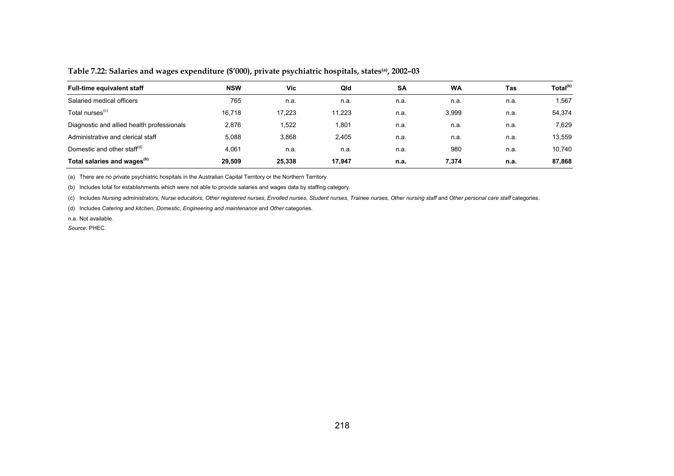| <b>Full-time equivalent staff</b>          | <b>NSW</b> | Vic    | Qld    | <b>SA</b> | <b>WA</b> | Tas  | Total <sup>(b)</sup> |
|--------------------------------------------|------------|--------|--------|-----------|-----------|------|----------------------|
| Salaried medical officers                  | 765        | n.a.   | n.a.   | n.a.      | n.a.      | n.a. | 1,567                |
| Total nurses <sup>(c)</sup>                | 16.718     | 17.223 | 11.223 | n.a.      | 3,999     | n.a. | 54,374               |
| Diagnostic and allied health professionals | 2,876      | 1,522  | 1.801  | n.a.      | n.a.      | n.a. | 7.629                |
| Administrative and clerical staff          | 5.088      | 3,868  | 2.405  | n.a.      | n.a.      | n.a. | 13,559               |
| Domestic and other staff <sup>(d)</sup>    | 4,061      | n.a.   | n.a.   | n.a.      | 980       | n.a. | 10,740               |
| Total salaries and wages <sup>(b)</sup>    | 29.509     | 25.338 | 17.947 | n.a.      | 7,374     | n.a. | 87,868               |

**Table 7.22: Salaries and wages expenditure (\$'000), private psychiatric hospitals, states(a), 2002–03** 

(a) There are no private psychiatric hospitals in the Australian Capital Territory or the Northern Territory.

(b) Includes total for establishments which were not able to provide salaries and wages data by staffing category.

(c) Includes Nursing administrators, Nurse educators, Other registered nurses, Enrolled nurses, Student nurses, Trainee nurses, Other nursing staff and Other personal care staff categories.

(d) Includes *Catering and kitchen*, *Domestic*, *Engineering and maintenance* and *Other* categories.

n.a. Not available.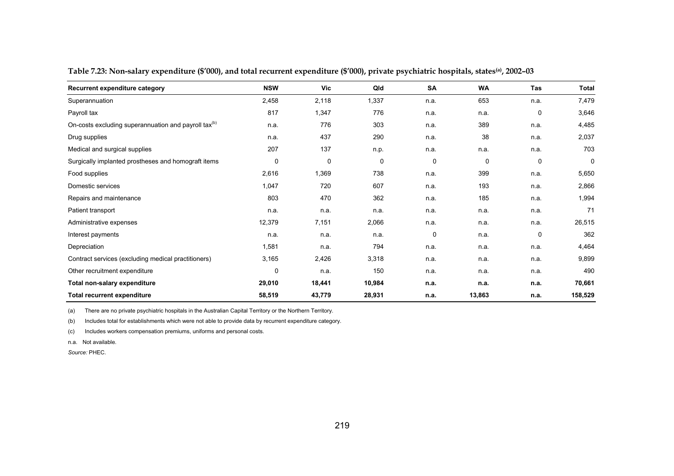| Recurrent expenditure category                                   | <b>NSW</b> | Vic    | Qld    | <b>SA</b> | <b>WA</b> | Tas  | Total   |
|------------------------------------------------------------------|------------|--------|--------|-----------|-----------|------|---------|
| Superannuation                                                   | 2,458      | 2,118  | 1,337  | n.a.      | 653       | n.a. | 7,479   |
| Payroll tax                                                      | 817        | 1,347  | 776    | n.a.      | n.a.      | 0    | 3,646   |
| On-costs excluding superannuation and payroll tax <sup>(b)</sup> | n.a.       | 776    | 303    | n.a.      | 389       | n.a. | 4,485   |
| Drug supplies                                                    | n.a.       | 437    | 290    | n.a.      | 38        | n.a. | 2,037   |
| Medical and surgical supplies                                    | 207        | 137    | n.p.   | n.a.      | n.a.      | n.a. | 703     |
| Surgically implanted prostheses and homograft items              | 0          | 0      | 0      | 0         | 0         | 0    | 0       |
| Food supplies                                                    | 2,616      | 1,369  | 738    | n.a.      | 399       | n.a. | 5,650   |
| Domestic services                                                | 1,047      | 720    | 607    | n.a.      | 193       | n.a. | 2,866   |
| Repairs and maintenance                                          | 803        | 470    | 362    | n.a.      | 185       | n.a. | 1,994   |
| Patient transport                                                | n.a.       | n.a.   | n.a.   | n.a.      | n.a.      | n.a. | 71      |
| Administrative expenses                                          | 12,379     | 7,151  | 2,066  | n.a.      | n.a.      | n.a. | 26,515  |
| Interest payments                                                | n.a.       | n.a.   | n.a.   | 0         | n.a.      | 0    | 362     |
| Depreciation                                                     | 1,581      | n.a.   | 794    | n.a.      | n.a.      | n.a. | 4,464   |
| Contract services (excluding medical practitioners)              | 3,165      | 2,426  | 3,318  | n.a.      | n.a.      | n.a. | 9,899   |
| Other recruitment expenditure                                    | 0          | n.a.   | 150    | n.a.      | n.a.      | n.a. | 490     |
| Total non-salary expenditure                                     | 29,010     | 18,441 | 10,984 | n.a.      | n.a.      | n.a. | 70,661  |
| <b>Total recurrent expenditure</b>                               | 58,519     | 43,779 | 28,931 | n.a.      | 13,863    | n.a. | 158,529 |

**Table 7.23: Non-salary expenditure (\$'000), and total recurrent expenditure (\$'000), private psychiatric hospitals, states(a), 2002–03** 

(a) There are no private psychiatric hospitals in the Australian Capital Territory or the Northern Territory.

(b) Includes total for establishments which were not able to provide data by recurrent expenditure category.

(c) Includes workers compensation premiums, uniforms and personal costs.

n.a. Not available.